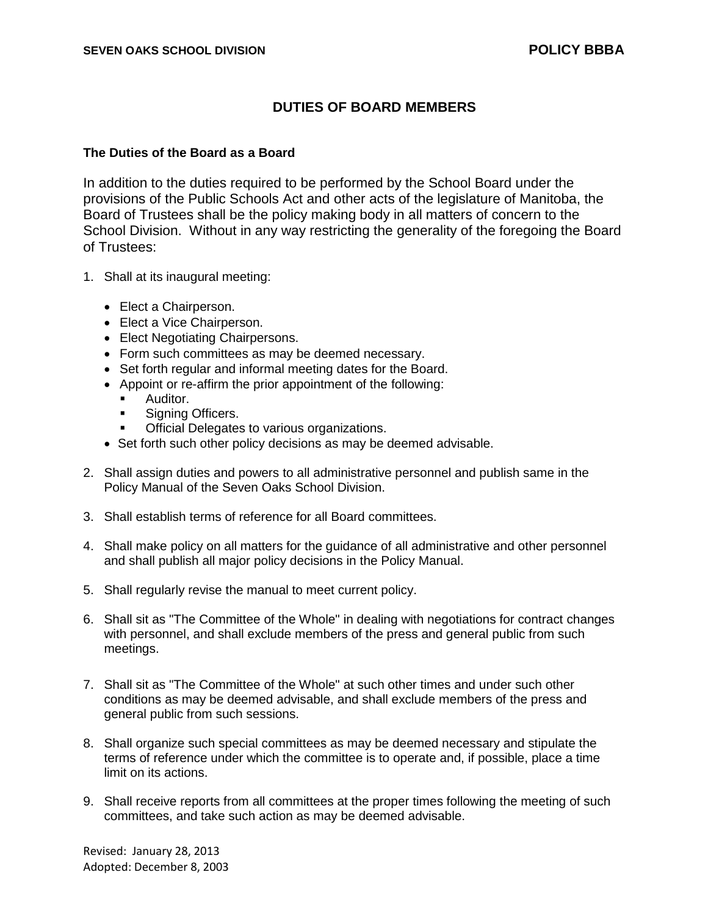## **DUTIES OF BOARD MEMBERS**

## **The Duties of the Board as a Board**

In addition to the duties required to be performed by the School Board under the provisions of the Public Schools Act and other acts of the legislature of Manitoba, the Board of Trustees shall be the policy making body in all matters of concern to the School Division. Without in any way restricting the generality of the foregoing the Board of Trustees:

- 1. Shall at its inaugural meeting:
	- Elect a Chairperson.
	- Elect a Vice Chairperson.
	- Elect Negotiating Chairpersons.
	- Form such committees as may be deemed necessary.
	- Set forth regular and informal meeting dates for the Board.
	- Appoint or re-affirm the prior appointment of the following:
		- Auditor.
		- **Signing Officers.**
		- Official Delegates to various organizations.
	- Set forth such other policy decisions as may be deemed advisable.
- 2. Shall assign duties and powers to all administrative personnel and publish same in the Policy Manual of the Seven Oaks School Division.
- 3. Shall establish terms of reference for all Board committees.
- 4. Shall make policy on all matters for the guidance of all administrative and other personnel and shall publish all major policy decisions in the Policy Manual.
- 5. Shall regularly revise the manual to meet current policy.
- 6. Shall sit as "The Committee of the Whole" in dealing with negotiations for contract changes with personnel, and shall exclude members of the press and general public from such meetings.
- 7. Shall sit as "The Committee of the Whole" at such other times and under such other conditions as may be deemed advisable, and shall exclude members of the press and general public from such sessions.
- 8. Shall organize such special committees as may be deemed necessary and stipulate the terms of reference under which the committee is to operate and, if possible, place a time limit on its actions.
- 9. Shall receive reports from all committees at the proper times following the meeting of such committees, and take such action as may be deemed advisable.

Revised: January 28, 2013 Adopted: December 8, 2003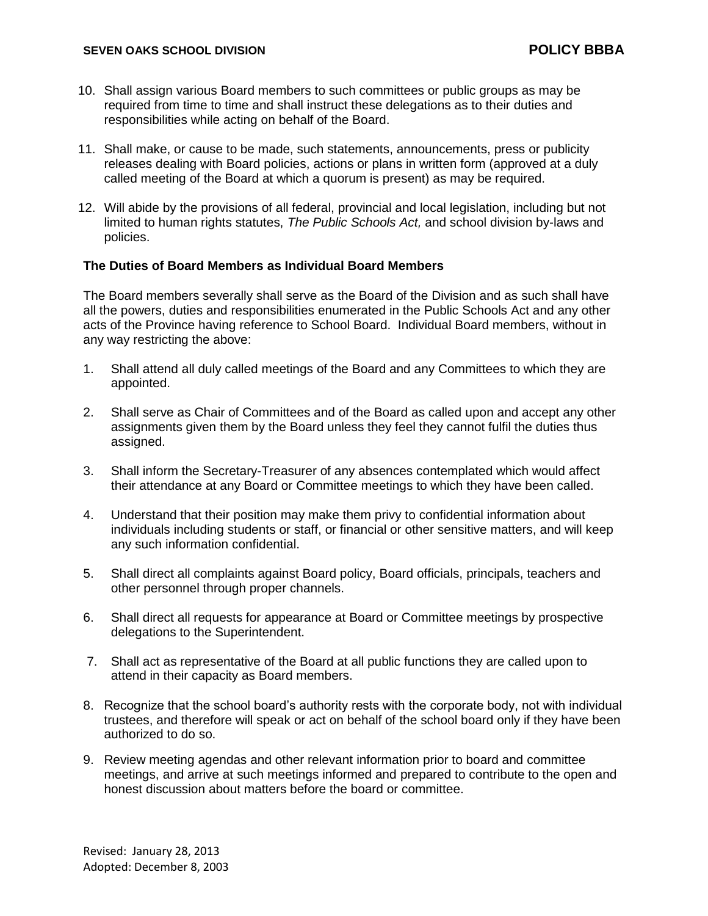- 10. Shall assign various Board members to such committees or public groups as may be required from time to time and shall instruct these delegations as to their duties and responsibilities while acting on behalf of the Board.
- 11. Shall make, or cause to be made, such statements, announcements, press or publicity releases dealing with Board policies, actions or plans in written form (approved at a duly called meeting of the Board at which a quorum is present) as may be required.
- 12. Will abide by the provisions of all federal, provincial and local legislation, including but not limited to human rights statutes, *The Public Schools Act,* and school division by-laws and policies.

## **The Duties of Board Members as Individual Board Members**

The Board members severally shall serve as the Board of the Division and as such shall have all the powers, duties and responsibilities enumerated in the Public Schools Act and any other acts of the Province having reference to School Board. Individual Board members, without in any way restricting the above:

- 1. Shall attend all duly called meetings of the Board and any Committees to which they are appointed.
- 2. Shall serve as Chair of Committees and of the Board as called upon and accept any other assignments given them by the Board unless they feel they cannot fulfil the duties thus assigned.
- 3. Shall inform the Secretary-Treasurer of any absences contemplated which would affect their attendance at any Board or Committee meetings to which they have been called.
- 4. Understand that their position may make them privy to confidential information about individuals including students or staff, or financial or other sensitive matters, and will keep any such information confidential.
- 5. Shall direct all complaints against Board policy, Board officials, principals, teachers and other personnel through proper channels.
- 6. Shall direct all requests for appearance at Board or Committee meetings by prospective delegations to the Superintendent.
- 7. Shall act as representative of the Board at all public functions they are called upon to attend in their capacity as Board members.
- 8. Recognize that the school board's authority rests with the corporate body, not with individual trustees, and therefore will speak or act on behalf of the school board only if they have been authorized to do so.
- 9. Review meeting agendas and other relevant information prior to board and committee meetings, and arrive at such meetings informed and prepared to contribute to the open and honest discussion about matters before the board or committee.